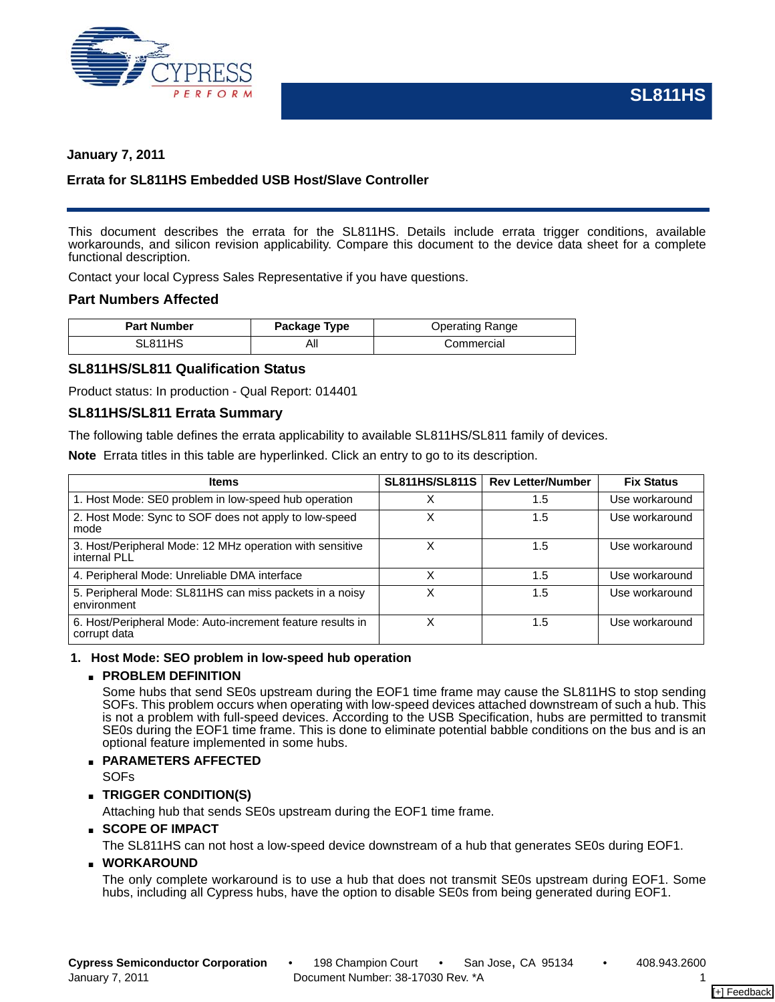

## **January 7, 2011**

## **Errata for SL811HS Embedded USB Host/Slave Controller**

This document describes the errata for the SL811HS. Details include errata trigger conditions, available workarounds, and silicon revision applicability. Compare this document to the device data sheet for a complete functional description.

Contact your local Cypress Sales Representative if you have questions.

# **Part Numbers Affected**

| <b>Part Number</b> | Package Type | <b>Operating Range</b> |
|--------------------|--------------|------------------------|
| SL811HS            | Αll          | Commercial             |

## **SL811HS/SL811 Qualification Status**

Product status: In production - Qual Report: 014401

## **SL811HS/SL811 Errata Summary**

The following table defines the errata applicability to available SL811HS/SL811 family of devices.

**Note** Errata titles in this table are hyperlinked. Click an entry to go to its description.

| <b>Items</b>                                                               | <b>SL811HS/SL811S</b> | <b>Rev Letter/Number</b> | <b>Fix Status</b> |
|----------------------------------------------------------------------------|-----------------------|--------------------------|-------------------|
| 1. Host Mode: SE0 problem in low-speed hub operation                       | Χ                     | 1.5                      | Use workaround    |
| 2. Host Mode: Sync to SOF does not apply to low-speed<br>mode              | Χ                     | 1.5                      | Use workaround    |
| 3. Host/Peripheral Mode: 12 MHz operation with sensitive<br>internal PLL   | Χ                     | 1.5                      | Use workaround    |
| 4. Peripheral Mode: Unreliable DMA interface                               |                       | 1.5                      | Use workaround    |
| 5. Peripheral Mode: SL811HS can miss packets in a noisy<br>environment     | Χ                     | 1.5                      | Use workaround    |
| 6. Host/Peripheral Mode: Auto-increment feature results in<br>corrupt data | Χ                     | 1.5                      | Use workaround    |

### <span id="page-0-0"></span>**1. Host Mode: SEO problem in low-speed hub operation**

### ■ **PROBLEM DEFINITION**

Some hubs that send SE0s upstream during the EOF1 time frame may cause the SL811HS to stop sending SOFs. This problem occurs when operating with low-speed devices attached downstream of such a hub. This is not a problem with full-speed devices. According to the USB Specification, hubs are permitted to transmit SE0s during the EOF1 time frame. This is done to eliminate potential babble conditions on the bus and is an optional feature implemented in some hubs.

### ■ **PARAMETERS AFFECTED**

SOFs

### ■ **TRIGGER CONDITION(S)**

Attaching hub that sends SE0s upstream during the EOF1 time frame.

### ■ **SCOPE OF IMPACT**

The SL811HS can not host a low-speed device downstream of a hub that generates SE0s during EOF1.

### ■ **WORKAROUND**

The only complete workaround is to use a hub that does not transmit SE0s upstream during EOF1. Some hubs, including all Cypress hubs, have the option to disable SE0s from being generated during EOF1.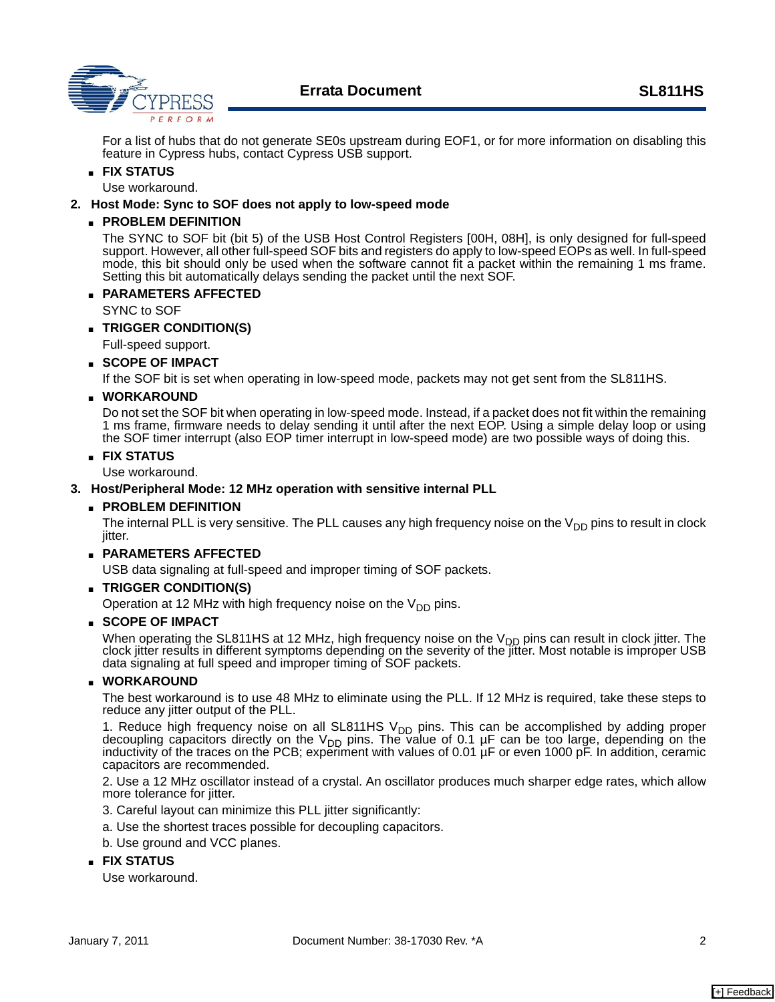

For a list of hubs that do not generate SE0s upstream during EOF1, or for more information on disabling this feature in Cypress hubs, contact Cypress USB support.

## ■ **FIX STATUS**

Use workaround.

### <span id="page-1-0"></span>**2. Host Mode: Sync to SOF does not apply to low-speed mode**

### ■ **PROBLEM DEFINITION**

The SYNC to SOF bit (bit 5) of the USB Host Control Registers [00H, 08H], is only designed for full-speed support. However, all other full-speed SOF bits and registers do apply to low-speed EOPs as well. In full-speed mode, this bit should only be used when the software cannot fit a packet within the remaining 1 ms frame. Setting this bit automatically delays sending the packet until the next SOF.

### ■ **PARAMETERS AFFECTED**

SYNC to SOF

- **TRIGGER CONDITION(S)**
- Full-speed support.

## ■ **SCOPE OF IMPACT**

If the SOF bit is set when operating in low-speed mode, packets may not get sent from the SL811HS.

## ■ **WORKAROUND**

Do not set the SOF bit when operating in low-speed mode. Instead, if a packet does not fit within the remaining 1 ms frame, firmware needs to delay sending it until after the next EOP. Using a simple delay loop or using the SOF timer interrupt (also EOP timer interrupt in low-speed mode) are two possible ways of doing this.

#### ■ **FIX STATUS**

Use workaround.

### <span id="page-1-1"></span>**3. Host/Peripheral Mode: 12 MHz operation with sensitive internal PLL**

#### ■ **PROBLEM DEFINITION**

The internal PLL is very sensitive. The PLL causes any high frequency noise on the  $V_{DD}$  pins to result in clock jitter.

### ■ **PARAMETERS AFFECTED**

USB data signaling at full-speed and improper timing of SOF packets.

### ■ **TRIGGER CONDITION(S)**

Operation at 12 MHz with high frequency noise on the  $V_{DD}$  pins.

### ■ **SCOPE OF IMPACT**

When operating the SL811HS at 12 MHz, high frequency noise on the  $V_{DD}$  pins can result in clock jitter. The clock jitter results in different symptoms depending on the severity of the jitter. Most notable is improper USB data signaling at full speed and improper timing of SOF packets.

### ■ **WORKAROUND**

The best workaround is to use 48 MHz to eliminate using the PLL. If 12 MHz is required, take these steps to reduce any jitter output of the PLL.

1. Reduce high frequency noise on all SL811HS V<sub>DD</sub> pins. This can be accomplished by adding proper decoupling capacitors directly on the V<sub>DD</sub> pins. The value of 0.1 µF can be too large, depending on the<br>inductivity of the traces on the PCB; experiment with values of 0.01 µF or even 1000 pF. In addition, ceramic capacitors are recommended.

2. Use a 12 MHz oscillator instead of a crystal. An oscillator produces much sharper edge rates, which allow more tolerance for jitter.

- 3. Careful layout can minimize this PLL jitter significantly:
- a. Use the shortest traces possible for decoupling capacitors.
- b. Use ground and VCC planes.

### ■ **FIX STATUS**

Use workaround.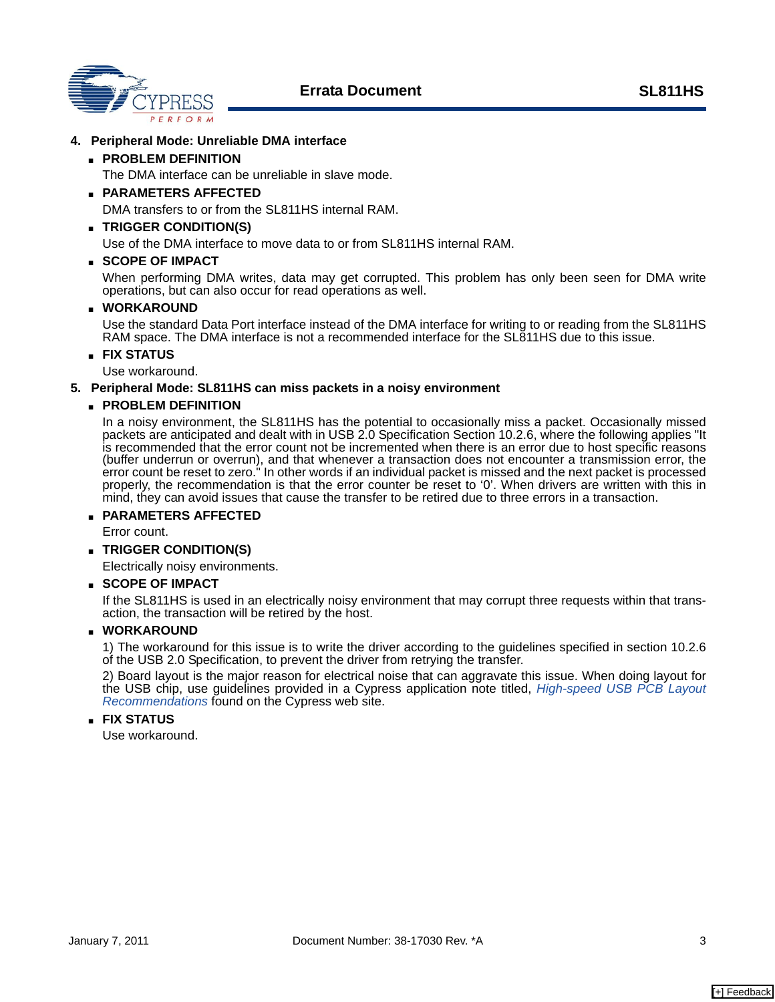**Errata Document SL811HS**



## <span id="page-2-0"></span>**4. Peripheral Mode: Unreliable DMA interface**

### ■ **PROBLEM DEFINITION**

The DMA interface can be unreliable in slave mode.

■ **PARAMETERS AFFECTED**

DMA transfers to or from the SL811HS internal RAM.

## ■ **TRIGGER CONDITION(S)**

Use of the DMA interface to move data to or from SL811HS internal RAM.

### ■ **SCOPE OF IMPACT**

When performing DMA writes, data may get corrupted. This problem has only been seen for DMA write operations, but can also occur for read operations as well.

### ■ **WORKAROUND**

Use the standard Data Port interface instead of the DMA interface for writing to or reading from the SL811HS RAM space. The DMA interface is not a recommended interface for the SL811HS due to this issue.

■ **FIX STATUS**

Use workaround.

### <span id="page-2-1"></span>**5. Peripheral Mode: SL811HS can miss packets in a noisy environment**

### ■ **PROBLEM DEFINITION**

In a noisy environment, the SL811HS has the potential to occasionally miss a packet. Occasionally missed packets are anticipated and dealt with in USB 2.0 Specification Section 10.2.6, where the following applies "It is recommended that the error count not be incremented when there is an error due to host specific reasons (buffer underrun or overrun), and that whenever a transaction does not encounter a transmission error, the error count be reset to zero." In other words if an individual packet is missed and the next packet is processed properly, the recommendation is that the error counter be reset to '0'. When drivers are written with this in mind, they can avoid issues that cause the transfer to be retired due to three errors in a transaction.

# ■ **PARAMETERS AFFECTED**

Error count.

■ **TRIGGER CONDITION(S)**

Electrically noisy environments.

### ■ **SCOPE OF IMPACT**

If the SL811HS is used in an electrically noisy environment that may corrupt three requests within that transaction, the transaction will be retired by the host.

### ■ **WORKAROUND**

1) The workaround for this issue is to write the driver according to the guidelines specified in section 10.2.6 of the USB 2.0 Specification, to prevent the driver from retrying the transfer.

2) Board layout is the major reason for electrical noise that can aggravate this issue. When doing layout for the USB chip, use guidelines provided in a Cypress application note titled, *[High-speed USB PCB Layout](http://www.cypress.com/?rID=12982)  [Recommendations](http://www.cypress.com/?rID=12982)* found on the Cypress web site.

## ■ **FIX STATUS**

Use workaround.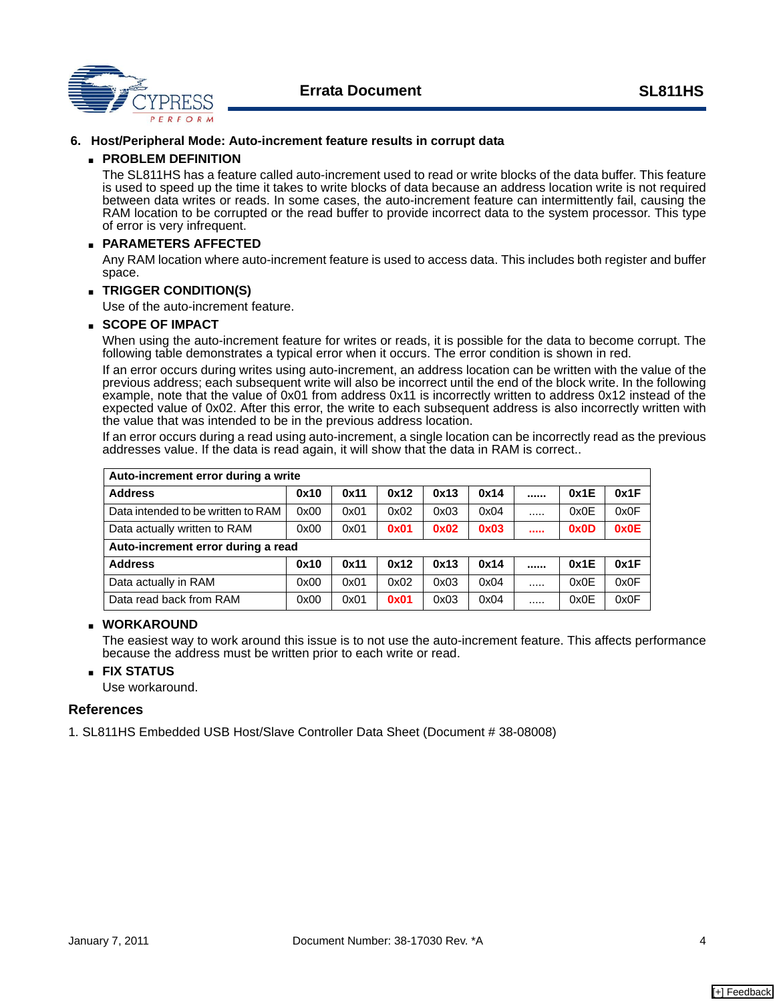

#### <span id="page-3-0"></span>**6. Host/Peripheral Mode: Auto-increment feature results in corrupt data**

#### ■ **PROBLEM DEFINITION**

The SL811HS has a feature called auto-increment used to read or write blocks of the data buffer. This feature is used to speed up the time it takes to write blocks of data because an address location write is not required between data writes or reads. In some cases, the auto-increment feature can intermittently fail, causing the RAM location to be corrupted or the read buffer to provide incorrect data to the system processor. This type of error is very infrequent.

#### ■ **PARAMETERS AFFECTED**

Any RAM location where auto-increment feature is used to access data. This includes both register and buffer space.

#### ■ **TRIGGER CONDITION(S)**

Use of the auto-increment feature.

#### ■ **SCOPE OF IMPACT**

When using the auto-increment feature for writes or reads, it is possible for the data to become corrupt. The following table demonstrates a typical error when it occurs. The error condition is shown in red.

If an error occurs during writes using auto-increment, an address location can be written with the value of the previous address; each subsequent write will also be incorrect until the end of the block write. In the following example, note that the value of 0x01 from address 0x11 is incorrectly written to address 0x12 instead of the expected value of 0x02. After this error, the write to each subsequent address is also incorrectly written with the value that was intended to be in the previous address location.

If an error occurs during a read using auto-increment, a single location can be incorrectly read as the previous addresses value. If the data is read again, it will show that the data in RAM is correct..

| Auto-increment error during a write |      |      |      |      |      |          |      |
|-------------------------------------|------|------|------|------|------|----------|------|
| <b>Address</b>                      | 0x10 | 0x11 | 0x12 | 0x13 | 0x14 | <br>0x1E | 0x1F |
| Data intended to be written to RAM  | 0x00 | 0x01 | 0x02 | 0x03 | 0x04 | <br>0x0E | 0x0F |
| Data actually written to RAM        | 0x00 | 0x01 | 0x01 | 0x02 | 0x03 | <br>0x0D | 0x0E |
| Auto-increment error during a read  |      |      |      |      |      |          |      |
| <b>Address</b>                      | 0x10 | 0x11 | 0x12 | 0x13 | 0x14 | <br>0x1E | 0x1F |
| Data actually in RAM                | 0x00 | 0x01 | 0x02 | 0x03 | 0x04 | <br>0x0E | 0x0F |
| Data read back from RAM             | 0x00 | 0x01 | 0x01 | 0x03 | 0x04 | <br>0x0E | 0x0F |

#### ■ **WORKAROUND**

The easiest way to work around this issue is to not use the auto-increment feature. This affects performance because the address must be written prior to each write or read.

#### ■ **FIX STATUS**

Use workaround.

#### **References**

1. SL811HS Embedded USB Host/Slave Controller Data Sheet (Document # 38-08008)